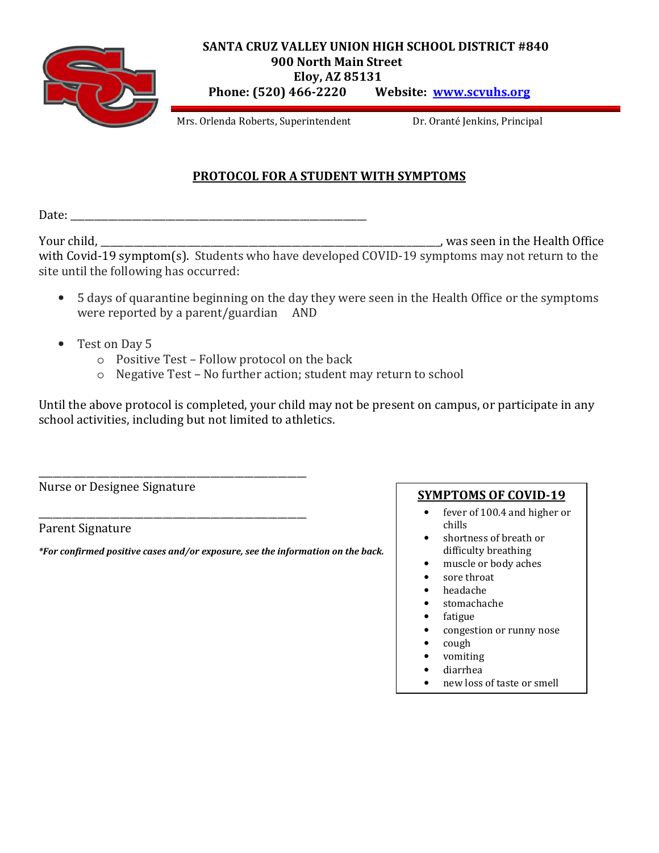

## **SANTA CRUZ VALLEY UNION HIGH SCHOOL DISTRICT #840 900 North Main Street Eloy, AZ 85131 Phone: (520) 466-2220 Website: www.scvuhs.org**

Mrs. Orlenda Roberts, Superintendent Dr. Oranté Jenkins, Principal

## **PROTOCOL FOR A STUDENT WITH SYMPTOMS**

Date: \_\_\_\_\_\_\_\_\_\_\_\_\_\_\_\_\_\_\_\_\_\_\_\_\_\_\_\_\_\_\_\_\_\_\_\_\_\_\_\_\_\_\_\_\_\_\_\_\_\_\_\_\_\_\_\_\_\_\_\_\_\_

Your child, \_\_\_\_\_\_\_\_\_\_\_\_\_\_\_\_\_\_\_\_\_\_\_\_\_\_\_\_\_\_\_\_\_\_\_\_\_\_\_\_\_\_\_\_\_\_\_\_\_\_\_\_\_\_\_\_\_\_\_\_\_\_\_\_\_\_\_\_\_\_\_, was seen in the Health Office with Covid-19 symptom(s). Students who have developed COVID-19 symptoms may not return to the site until the following has occurred:

- 5 days of quarantine beginning on the day they were seen in the Health Office or the symptoms were reported by a parent/guardian AND
- Test on Day 5
	- o Positive Test Follow protocol on the back
	- o Negative Test No further action; student may return to school

Until the above protocol is completed, your child may not be present on campus, or participate in any school activities, including but not limited to athletics.

\_\_\_\_\_\_\_\_\_\_\_\_\_\_\_\_\_\_\_\_\_\_\_\_\_\_\_\_\_\_\_\_\_\_\_\_\_\_\_\_\_\_\_\_\_\_\_\_\_\_\_\_\_\_\_\_ Nurse or Designee Signature

Parent Signature

*\*For confirmed positive cases and/or exposure, see the information on the back.* 

\_\_\_\_\_\_\_\_\_\_\_\_\_\_\_\_\_\_\_\_\_\_\_\_\_\_\_\_\_\_\_\_\_\_\_\_\_\_\_\_\_\_\_\_\_\_\_\_\_\_\_\_\_\_\_\_

## **SYMPTOMS OF COVID-19**

- fever of 100.4 and higher or chills
- shortness of breath or difficulty breathing
- muscle or body aches
- sore throat
- headache
- stomachache
- fatigue
- congestion or runny nose
- cough
- vomiting
- diarrhea
- new loss of taste or smell